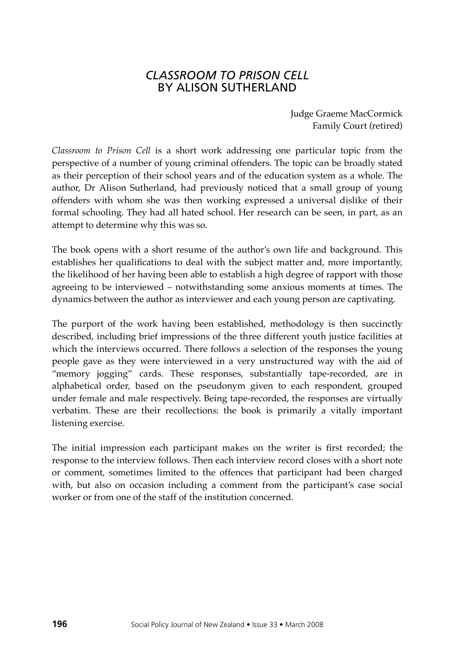## *CLASSROOM TO PRISON CELL*  by ALISON SUTHERLAND

Judge Graeme MacCormick Family Court (retired)

*Classroom to Prison Cell* is a short work addressing one particular topic from the perspective of a number of young criminal offenders. The topic can be broadly stated as their perception of their school years and of the education system as a whole. The author, Dr Alison Sutherland, had previously noticed that a small group of young offenders with whom she was then working expressed a universal dislike of their formal schooling. They had all hated school. Her research can be seen, in part, as an attempt to determine why this was so.

The book opens with a short resume of the author's own life and background. This establishes her qualifications to deal with the subject matter and, more importantly, the likelihood of her having been able to establish a high degree of rapport with those agreeing to be interviewed – notwithstanding some anxious moments at times. The dynamics between the author as interviewer and each young person are captivating.

The purport of the work having been established, methodology is then succinctly described, including brief impressions of the three different youth justice facilities at which the interviews occurred. There follows a selection of the responses the young people gave as they were interviewed in a very unstructured way with the aid of "memory jogging" cards. These responses, substantially tape-recorded, are in alphabetical order, based on the pseudonym given to each respondent, grouped under female and male respectively. Being tape-recorded, the responses are virtually verbatim. These are their recollections: the book is primarily a vitally important listening exercise.

The initial impression each participant makes on the writer is first recorded; the response to the interview follows. Then each interview record closes with a short note or comment, sometimes limited to the offences that participant had been charged with, but also on occasion including a comment from the participant's case social worker or from one of the staff of the institution concerned.